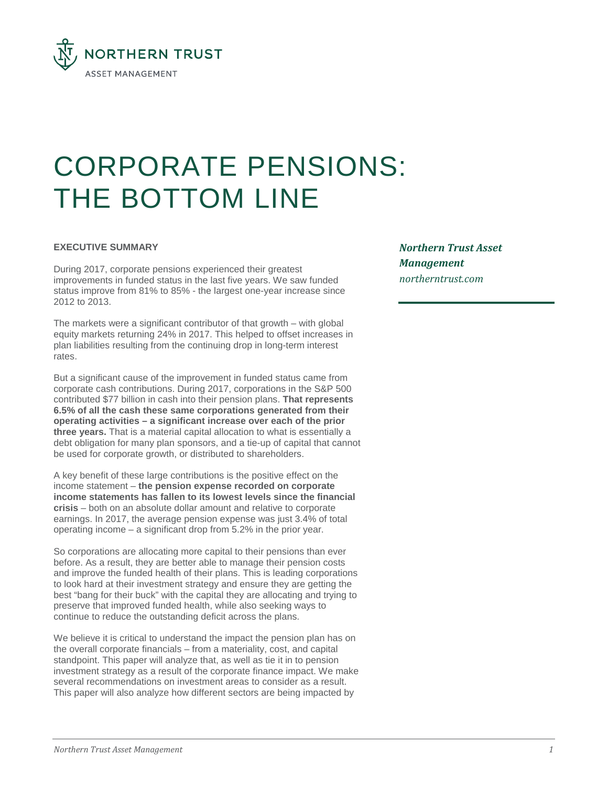

# CORPORATE PENSIONS: THE BOTTOM LINE

## **EXECUTIVE SUMMARY**

During 2017, corporate pensions experienced their greatest improvements in funded status in the last five years. We saw funded status improve from 81% to 85% - the largest one-year increase since 2012 to 2013.

The markets were a significant contributor of that growth – with global equity markets returning 24% in 2017. This helped to offset increases in plan liabilities resulting from the continuing drop in long-term interest rates.

But a significant cause of the improvement in funded status came from corporate cash contributions. During 2017, corporations in the S&P 500 contributed \$77 billion in cash into their pension plans. **That represents 6.5% of all the cash these same corporations generated from their operating activities – a significant increase over each of the prior three years.** That is a material capital allocation to what is essentially a debt obligation for many plan sponsors, and a tie-up of capital that cannot be used for corporate growth, or distributed to shareholders.

A key benefit of these large contributions is the positive effect on the income statement – **the pension expense recorded on corporate income statements has fallen to its lowest levels since the financial crisis** – both on an absolute dollar amount and relative to corporate earnings. In 2017, the average pension expense was just 3.4% of total operating income – a significant drop from 5.2% in the prior year.

So corporations are allocating more capital to their pensions than ever before. As a result, they are better able to manage their pension costs and improve the funded health of their plans. This is leading corporations to look hard at their investment strategy and ensure they are getting the best "bang for their buck" with the capital they are allocating and trying to preserve that improved funded health, while also seeking ways to continue to reduce the outstanding deficit across the plans.

We believe it is critical to understand the impact the pension plan has on the overall corporate financials – from a materiality, cost, and capital standpoint. This paper will analyze that, as well as tie it in to pension investment strategy as a result of the corporate finance impact. We make several recommendations on investment areas to consider as a result. This paper will also analyze how different sectors are being impacted by

*Northern Trust Asset Management [northerntrust.](mailto:dk205@ntrs.com)com*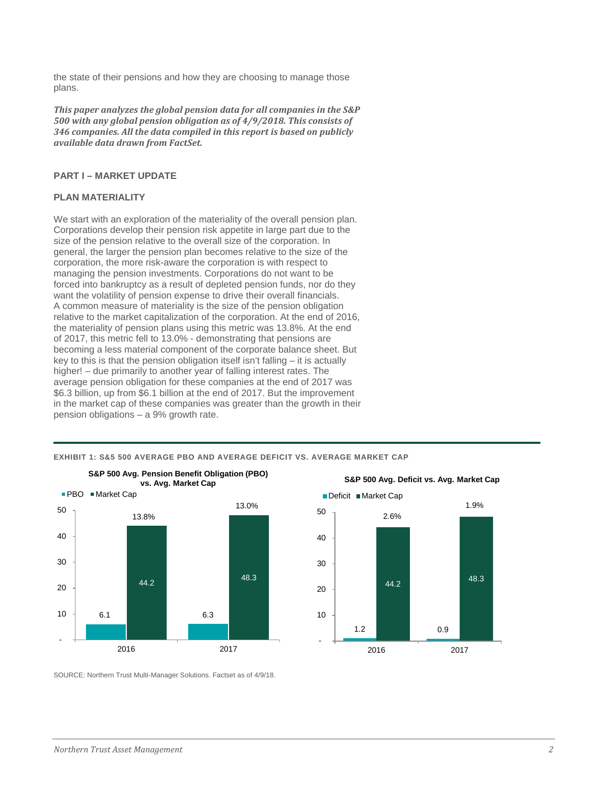the state of their pensions and how they are choosing to manage those plans.

*This paper analyzes the global pension data for all companies in the S&P 500 with any global pension obligation as of 4/9/2018. This consists of 346 companies. All the data compiled in this report is based on publicly available data drawn from FactSet.*

## **PART I – MARKET UPDATE**

## **PLAN MATERIALITY**

We start with an exploration of the materiality of the overall pension plan. Corporations develop their pension risk appetite in large part due to the size of the pension relative to the overall size of the corporation. In general, the larger the pension plan becomes relative to the size of the corporation, the more risk-aware the corporation is with respect to managing the pension investments. Corporations do not want to be forced into bankruptcy as a result of depleted pension funds, nor do they want the volatility of pension expense to drive their overall financials. A common measure of materiality is the size of the pension obligation relative to the market capitalization of the corporation. At the end of 2016, the materiality of pension plans using this metric was 13.8%. At the end of 2017, this metric fell to 13.0% - demonstrating that pensions are becoming a less material component of the corporate balance sheet. But key to this is that the pension obligation itself isn't falling – it is actually higher! – due primarily to another year of falling interest rates. The average pension obligation for these companies at the end of 2017 was \$6.3 billion, up from \$6.1 billion at the end of 2017. But the improvement in the market cap of these companies was greater than the growth in their pension obligations – a 9% growth rate.





**EXHIBIT 1: S&5 500 AVERAGE PBO AND AVERAGE DEFICIT VS. AVERAGE MARKET CAP**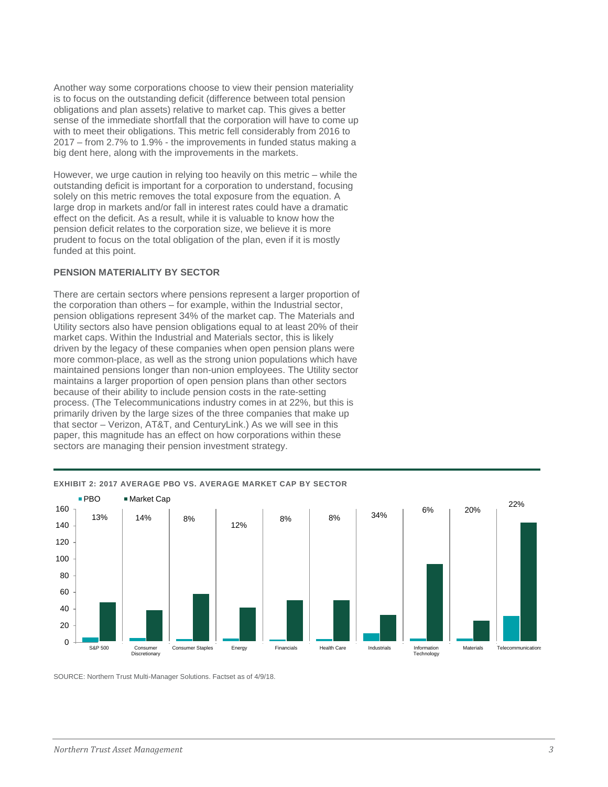Another way some corporations choose to view their pension materiality is to focus on the outstanding deficit (difference between total pension obligations and plan assets) relative to market cap. This gives a better sense of the immediate shortfall that the corporation will have to come up with to meet their obligations. This metric fell considerably from 2016 to 2017 – from 2.7% to 1.9% - the improvements in funded status making a big dent here, along with the improvements in the markets.

However, we urge caution in relying too heavily on this metric – while the outstanding deficit is important for a corporation to understand, focusing solely on this metric removes the total exposure from the equation. A large drop in markets and/or fall in interest rates could have a dramatic effect on the deficit. As a result, while it is valuable to know how the pension deficit relates to the corporation size, we believe it is more prudent to focus on the total obligation of the plan, even if it is mostly funded at this point.

## **PENSION MATERIALITY BY SECTOR**

There are certain sectors where pensions represent a larger proportion of the corporation than others – for example, within the Industrial sector, pension obligations represent 34% of the market cap. The Materials and Utility sectors also have pension obligations equal to at least 20% of their market caps. Within the Industrial and Materials sector, this is likely driven by the legacy of these companies when open pension plans were more common-place, as well as the strong union populations which have maintained pensions longer than non-union employees. The Utility sector maintains a larger proportion of open pension plans than other sectors because of their ability to include pension costs in the rate-setting process. (The Telecommunications industry comes in at 22%, but this is primarily driven by the large sizes of the three companies that make up that sector – Verizon, AT&T, and CenturyLink.) As we will see in this paper, this magnitude has an effect on how corporations within these sectors are managing their pension investment strategy.



## **EXHIBIT 2: 2017 AVERAGE PBO VS. AVERAGE MARKET CAP BY SECTOR**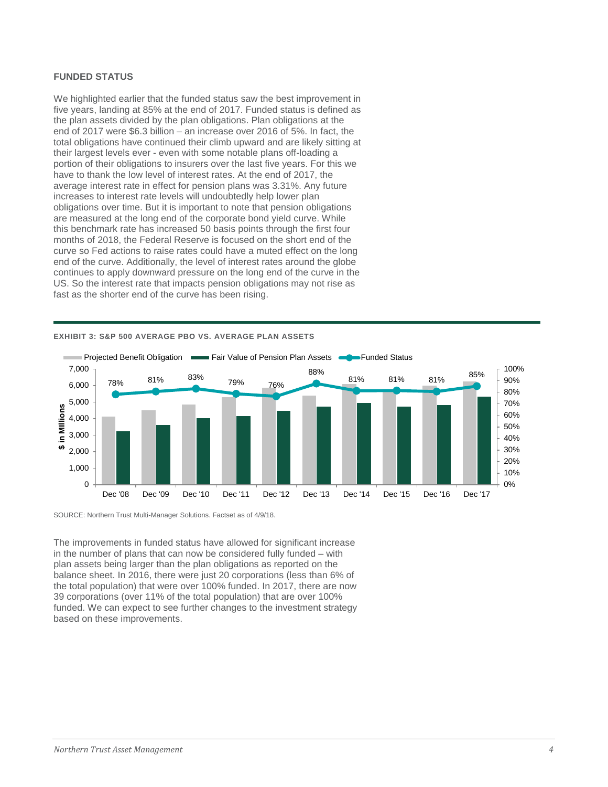## **FUNDED STATUS**

We highlighted earlier that the funded status saw the best improvement in five years, landing at 85% at the end of 2017. Funded status is defined as the plan assets divided by the plan obligations. Plan obligations at the end of 2017 were \$6.3 billion – an increase over 2016 of 5%. In fact, the total obligations have continued their climb upward and are likely sitting at their largest levels ever - even with some notable plans off-loading a portion of their obligations to insurers over the last five years. For this we have to thank the low level of interest rates. At the end of 2017, the average interest rate in effect for pension plans was 3.31%. Any future increases to interest rate levels will undoubtedly help lower plan obligations over time. But it is important to note that pension obligations are measured at the long end of the corporate bond yield curve. While this benchmark rate has increased 50 basis points through the first four months of 2018, the Federal Reserve is focused on the short end of the curve so Fed actions to raise rates could have a muted effect on the long end of the curve. Additionally, the level of interest rates around the globe continues to apply downward pressure on the long end of the curve in the US. So the interest rate that impacts pension obligations may not rise as fast as the shorter end of the curve has been rising.



#### **EXHIBIT 3: S&P 500 AVERAGE PBO VS. AVERAGE PLAN ASSETS**

SOURCE: Northern Trust Multi-Manager Solutions. Factset as of 4/9/18.

The improvements in funded status have allowed for significant increase in the number of plans that can now be considered fully funded – with plan assets being larger than the plan obligations as reported on the balance sheet. In 2016, there were just 20 corporations (less than 6% of the total population) that were over 100% funded. In 2017, there are now 39 corporations (over 11% of the total population) that are over 100% funded. We can expect to see further changes to the investment strategy based on these improvements.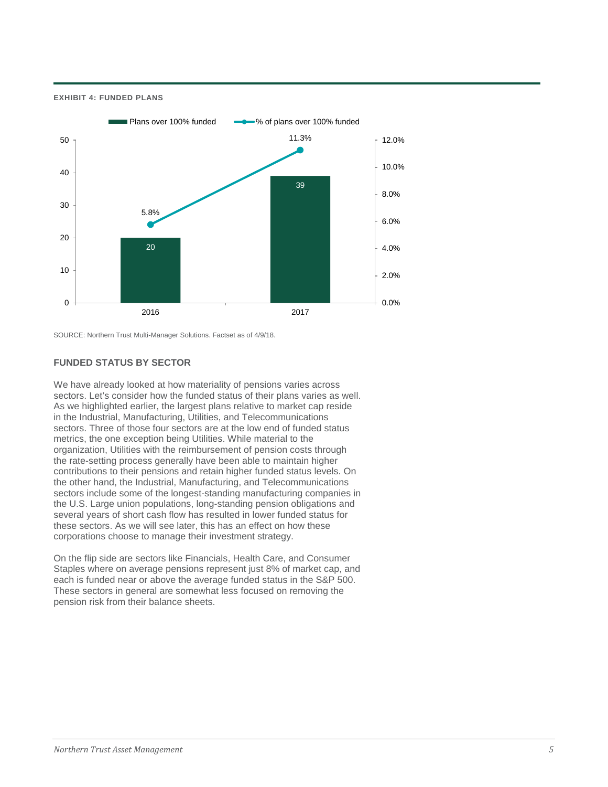**EXHIBIT 4: FUNDED PLANS** 



SOURCE: Northern Trust Multi-Manager Solutions. Factset as of 4/9/18.

## **FUNDED STATUS BY SECTOR**

We have already looked at how materiality of pensions varies across sectors. Let's consider how the funded status of their plans varies as well. As we highlighted earlier, the largest plans relative to market cap reside in the Industrial, Manufacturing, Utilities, and Telecommunications sectors. Three of those four sectors are at the low end of funded status metrics, the one exception being Utilities. While material to the organization, Utilities with the reimbursement of pension costs through the rate-setting process generally have been able to maintain higher contributions to their pensions and retain higher funded status levels. On the other hand, the Industrial, Manufacturing, and Telecommunications sectors include some of the longest-standing manufacturing companies in the U.S. Large union populations, long-standing pension obligations and several years of short cash flow has resulted in lower funded status for these sectors. As we will see later, this has an effect on how these corporations choose to manage their investment strategy.

On the flip side are sectors like Financials, Health Care, and Consumer Staples where on average pensions represent just 8% of market cap, and each is funded near or above the average funded status in the S&P 500. These sectors in general are somewhat less focused on removing the pension risk from their balance sheets.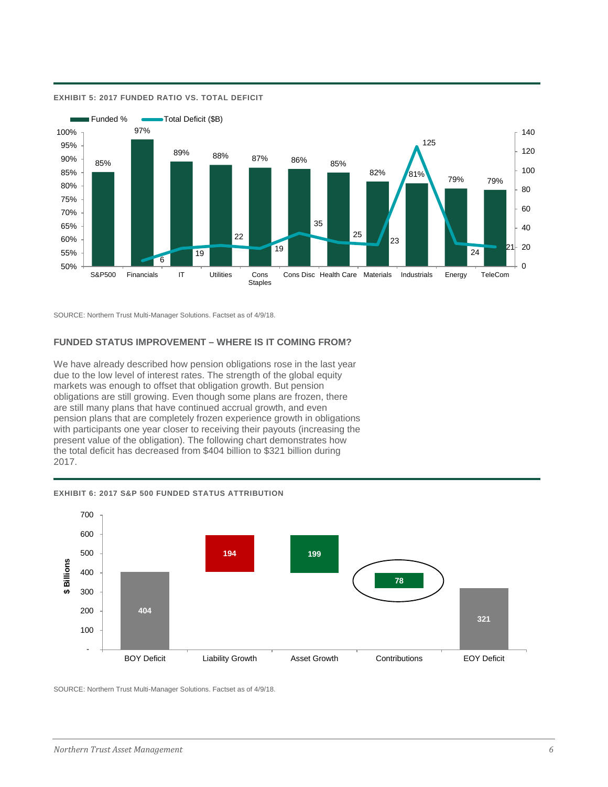

#### **EXHIBIT 5: 2017 FUNDED RATIO VS. TOTAL DEFICIT**

SOURCE: Northern Trust Multi-Manager Solutions. Factset as of 4/9/18.

## **FUNDED STATUS IMPROVEMENT – WHERE IS IT COMING FROM?**

We have already described how pension obligations rose in the last year due to the low level of interest rates. The strength of the global equity markets was enough to offset that obligation growth. But pension obligations are still growing. Even though some plans are frozen, there are still many plans that have continued accrual growth, and even pension plans that are completely frozen experience growth in obligations with participants one year closer to receiving their payouts (increasing the present value of the obligation). The following chart demonstrates how the total deficit has decreased from \$404 billion to \$321 billion during 2017.



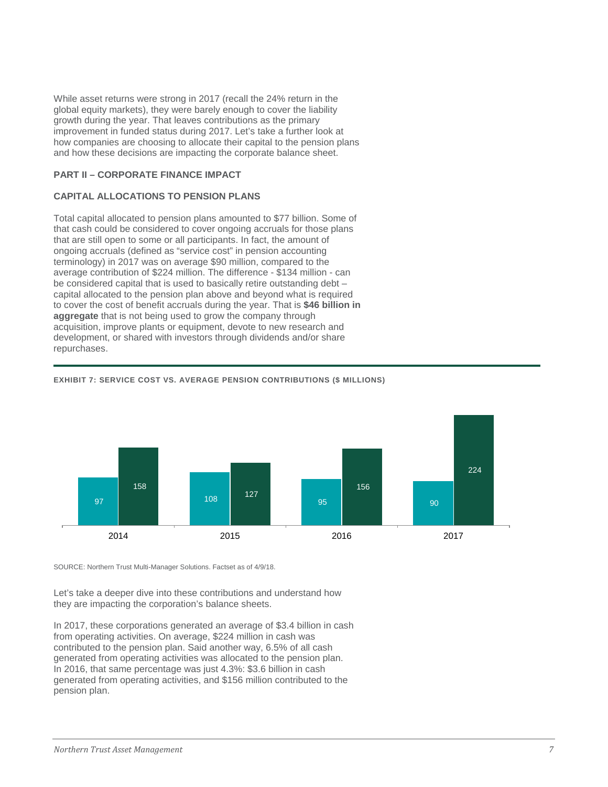While asset returns were strong in 2017 (recall the 24% return in the global equity markets), they were barely enough to cover the liability growth during the year. That leaves contributions as the primary improvement in funded status during 2017. Let's take a further look at how companies are choosing to allocate their capital to the pension plans and how these decisions are impacting the corporate balance sheet.

## **PART II – CORPORATE FINANCE IMPACT**

## **CAPITAL ALLOCATIONS TO PENSION PLANS**

Total capital allocated to pension plans amounted to \$77 billion. Some of that cash could be considered to cover ongoing accruals for those plans that are still open to some or all participants. In fact, the amount of ongoing accruals (defined as "service cost" in pension accounting terminology) in 2017 was on average \$90 million, compared to the average contribution of \$224 million. The difference - \$134 million - can be considered capital that is used to basically retire outstanding debt – capital allocated to the pension plan above and beyond what is required to cover the cost of benefit accruals during the year. That is **\$46 billion in aggregate** that is not being used to grow the company through acquisition, improve plants or equipment, devote to new research and development, or shared with investors through dividends and/or share repurchases.



## **EXHIBIT 7: SERVICE COST VS. AVERAGE PENSION CONTRIBUTIONS (\$ MILLIONS)**

SOURCE: Northern Trust Multi-Manager Solutions. Factset as of 4/9/18.

Let's take a deeper dive into these contributions and understand how they are impacting the corporation's balance sheets.

In 2017, these corporations generated an average of \$3.4 billion in cash from operating activities. On average, \$224 million in cash was contributed to the pension plan. Said another way, 6.5% of all cash generated from operating activities was allocated to the pension plan. In 2016, that same percentage was just 4.3%: \$3.6 billion in cash generated from operating activities, and \$156 million contributed to the pension plan.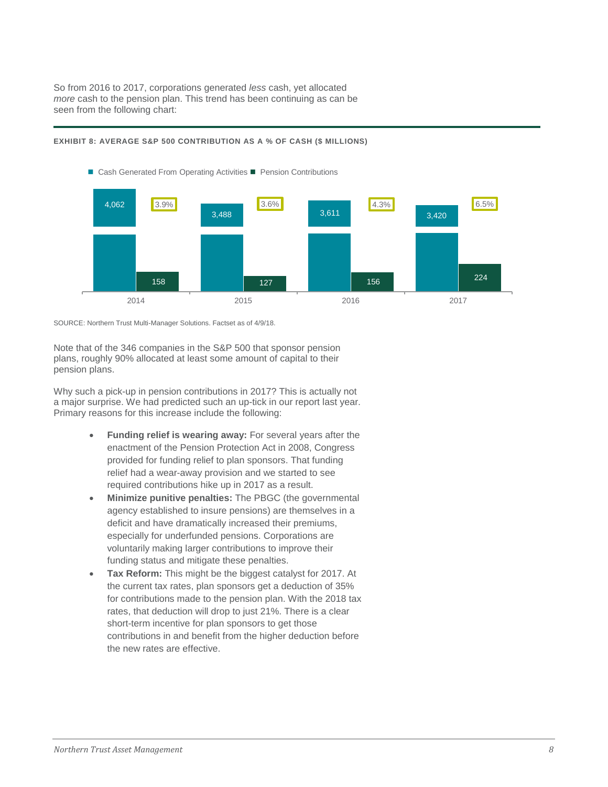So from 2016 to 2017, corporations generated *less* cash, yet allocated *more* cash to the pension plan. This trend has been continuing as can be seen from the following chart:



#### **EXHIBIT 8: AVERAGE S&P 500 CONTRIBUTION AS A % OF CASH (\$ MILLIONS)**

SOURCE: Northern Trust Multi-Manager Solutions. Factset as of 4/9/18.

Note that of the 346 companies in the S&P 500 that sponsor pension plans, roughly 90% allocated at least some amount of capital to their pension plans.

Why such a pick-up in pension contributions in 2017? This is actually not a major surprise. We had predicted such an up-tick in our report last year. Primary reasons for this increase include the following:

- **Funding relief is wearing away:** For several years after the enactment of the Pension Protection Act in 2008, Congress provided for funding relief to plan sponsors. That funding relief had a wear-away provision and we started to see required contributions hike up in 2017 as a result.
- **Minimize punitive penalties:** The PBGC (the governmental agency established to insure pensions) are themselves in a deficit and have dramatically increased their premiums, especially for underfunded pensions. Corporations are voluntarily making larger contributions to improve their funding status and mitigate these penalties.
- **Tax Reform:** This might be the biggest catalyst for 2017. At the current tax rates, plan sponsors get a deduction of 35% for contributions made to the pension plan. With the 2018 tax rates, that deduction will drop to just 21%. There is a clear short-term incentive for plan sponsors to get those contributions in and benefit from the higher deduction before the new rates are effective.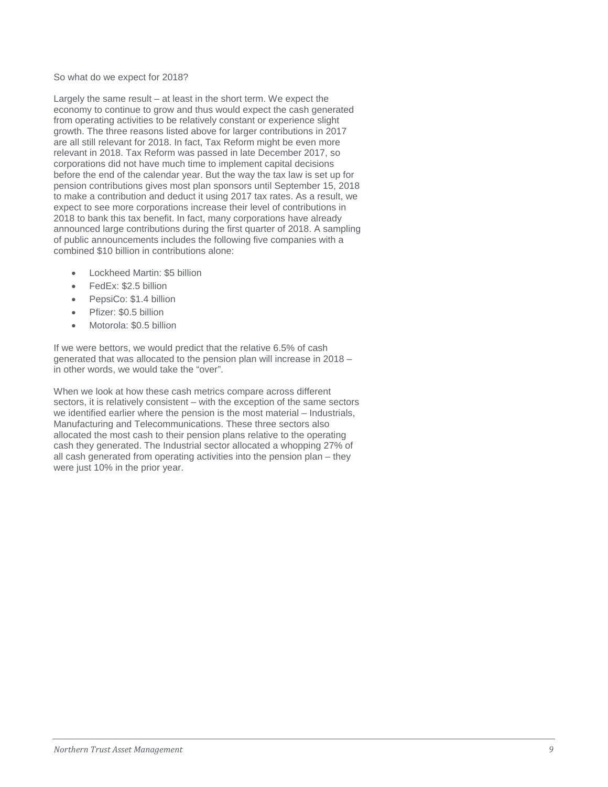## So what do we expect for 2018?

Largely the same result – at least in the short term. We expect the economy to continue to grow and thus would expect the cash generated from operating activities to be relatively constant or experience slight growth. The three reasons listed above for larger contributions in 2017 are all still relevant for 2018. In fact, Tax Reform might be even more relevant in 2018. Tax Reform was passed in late December 2017, so corporations did not have much time to implement capital decisions before the end of the calendar year. But the way the tax law is set up for pension contributions gives most plan sponsors until September 15, 2018 to make a contribution and deduct it using 2017 tax rates. As a result, we expect to see more corporations increase their level of contributions in 2018 to bank this tax benefit. In fact, many corporations have already announced large contributions during the first quarter of 2018. A sampling of public announcements includes the following five companies with a combined \$10 billion in contributions alone:

- Lockheed Martin: \$5 billion
- FedEx: \$2.5 billion
- PepsiCo: \$1.4 billion
- Pfizer: \$0.5 billion
- Motorola: \$0.5 billion

If we were bettors, we would predict that the relative 6.5% of cash generated that was allocated to the pension plan will increase in 2018 – in other words, we would take the "over".

When we look at how these cash metrics compare across different sectors, it is relatively consistent – with the exception of the same sectors we identified earlier where the pension is the most material – Industrials, Manufacturing and Telecommunications. These three sectors also allocated the most cash to their pension plans relative to the operating cash they generated. The Industrial sector allocated a whopping 27% of all cash generated from operating activities into the pension plan – they were just 10% in the prior year.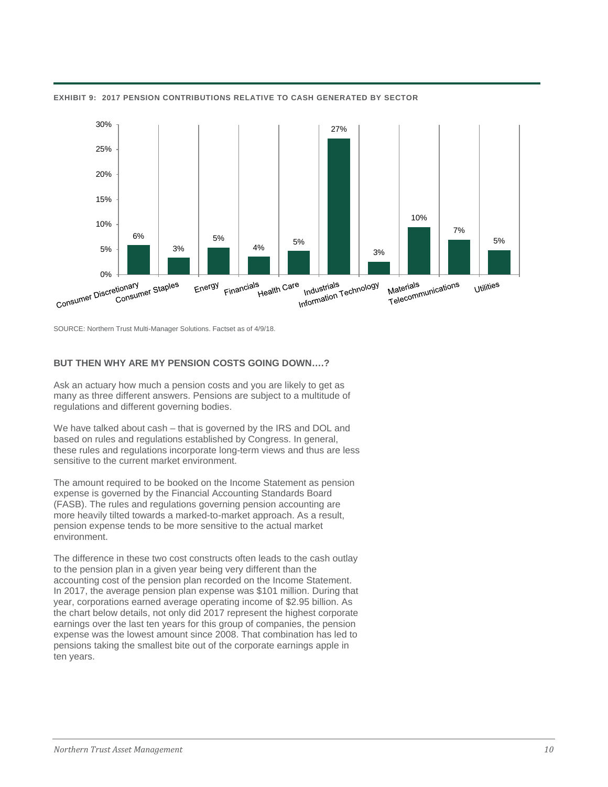

**EXHIBIT 9: 2017 PENSION CONTRIBUTIONS RELATIVE TO CASH GENERATED BY SECTOR**

SOURCE: Northern Trust Multi-Manager Solutions. Factset as of 4/9/18.

# **BUT THEN WHY ARE MY PENSION COSTS GOING DOWN….?**

Ask an actuary how much a pension costs and you are likely to get as many as three different answers. Pensions are subject to a multitude of regulations and different governing bodies.

We have talked about cash – that is governed by the IRS and DOL and based on rules and regulations established by Congress. In general, these rules and regulations incorporate long-term views and thus are less sensitive to the current market environment.

The amount required to be booked on the Income Statement as pension expense is governed by the Financial Accounting Standards Board (FASB). The rules and regulations governing pension accounting are more heavily tilted towards a marked-to-market approach. As a result, pension expense tends to be more sensitive to the actual market environment.

The difference in these two cost constructs often leads to the cash outlay to the pension plan in a given year being very different than the accounting cost of the pension plan recorded on the Income Statement. In 2017, the average pension plan expense was \$101 million. During that year, corporations earned average operating income of \$2.95 billion. As the chart below details, not only did 2017 represent the highest corporate earnings over the last ten years for this group of companies, the pension expense was the lowest amount since 2008. That combination has led to pensions taking the smallest bite out of the corporate earnings apple in ten years.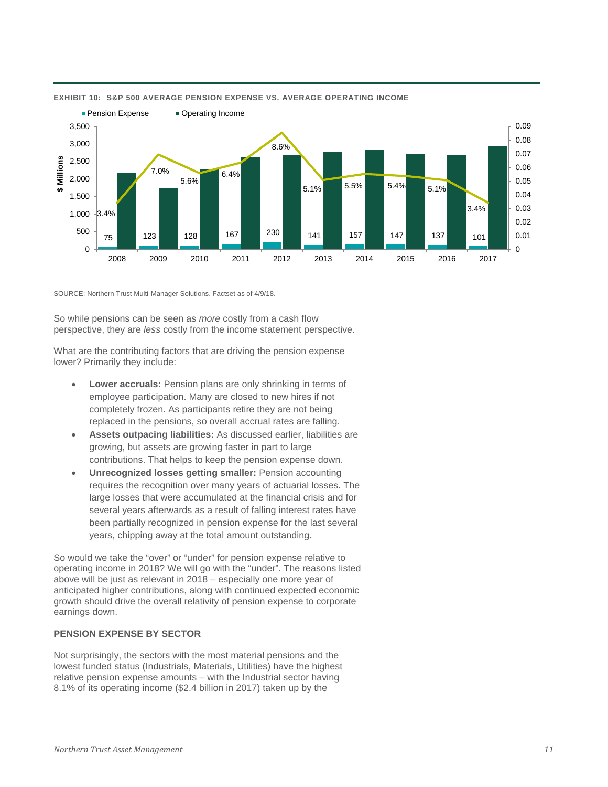

#### **EXHIBIT 10: S&P 500 AVERAGE PENSION EXPENSE VS. AVERAGE OPERATING INCOME**

SOURCE: Northern Trust Multi-Manager Solutions. Factset as of 4/9/18.

So while pensions can be seen as *more* costly from a cash flow perspective, they are *less* costly from the income statement perspective.

What are the contributing factors that are driving the pension expense lower? Primarily they include:

- **Lower accruals:** Pension plans are only shrinking in terms of employee participation. Many are closed to new hires if not completely frozen. As participants retire they are not being replaced in the pensions, so overall accrual rates are falling.
- **Assets outpacing liabilities:** As discussed earlier, liabilities are growing, but assets are growing faster in part to large contributions. That helps to keep the pension expense down.
- **Unrecognized losses getting smaller:** Pension accounting requires the recognition over many years of actuarial losses. The large losses that were accumulated at the financial crisis and for several years afterwards as a result of falling interest rates have been partially recognized in pension expense for the last several years, chipping away at the total amount outstanding.

So would we take the "over" or "under" for pension expense relative to operating income in 2018? We will go with the "under". The reasons listed above will be just as relevant in 2018 – especially one more year of anticipated higher contributions, along with continued expected economic growth should drive the overall relativity of pension expense to corporate earnings down.

# **PENSION EXPENSE BY SECTOR**

Not surprisingly, the sectors with the most material pensions and the lowest funded status (Industrials, Materials, Utilities) have the highest relative pension expense amounts – with the Industrial sector having 8.1% of its operating income (\$2.4 billion in 2017) taken up by the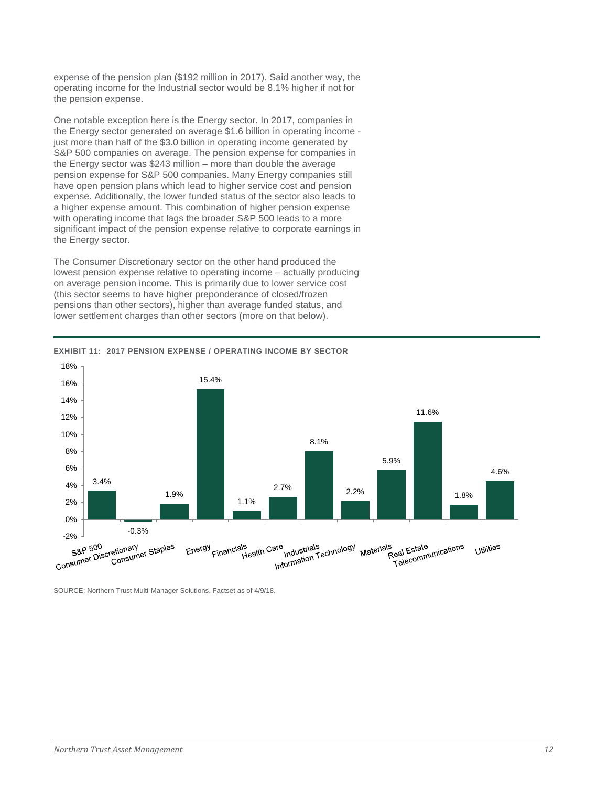expense of the pension plan (\$192 million in 2017). Said another way, the operating income for the Industrial sector would be 8.1% higher if not for the pension expense.

One notable exception here is the Energy sector. In 2017, companies in the Energy sector generated on average \$1.6 billion in operating income just more than half of the \$3.0 billion in operating income generated by S&P 500 companies on average. The pension expense for companies in the Energy sector was \$243 million – more than double the average pension expense for S&P 500 companies. Many Energy companies still have open pension plans which lead to higher service cost and pension expense. Additionally, the lower funded status of the sector also leads to a higher expense amount. This combination of higher pension expense with operating income that lags the broader S&P 500 leads to a more significant impact of the pension expense relative to corporate earnings in the Energy sector.

The Consumer Discretionary sector on the other hand produced the lowest pension expense relative to operating income – actually producing on average pension income. This is primarily due to lower service cost (this sector seems to have higher preponderance of closed/frozen pensions than other sectors), higher than average funded status, and lower settlement charges than other sectors (more on that below).



**EXHIBIT 11: 2017 PENSION EXPENSE / OPERATING INCOME BY SECTOR**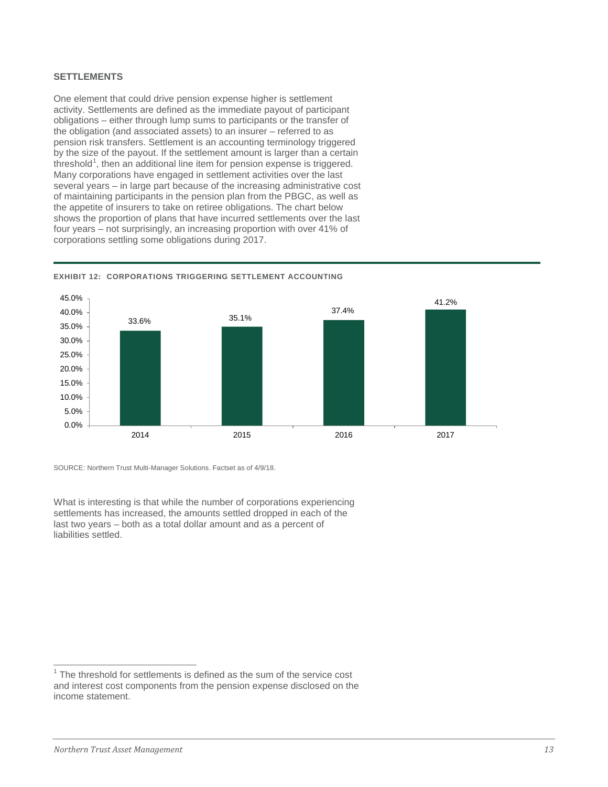## **SETTLEMENTS**

One element that could drive pension expense higher is settlement activity. Settlements are defined as the immediate payout of participant obligations – either through lump sums to participants or the transfer of the obligation (and associated assets) to an insurer – referred to as pension risk transfers. Settlement is an accounting terminology triggered by the size of the payout. If the settlement amount is larger than a certain threshold<sup>[1](#page-12-0)</sup>, then an additional line item for pension expense is triggered. Many corporations have engaged in settlement activities over the last several years – in large part because of the increasing administrative cost of maintaining participants in the pension plan from the PBGC, as well as the appetite of insurers to take on retiree obligations. The chart below shows the proportion of plans that have incurred settlements over the last four years – not surprisingly, an increasing proportion with over 41% of corporations settling some obligations during 2017.





SOURCE: Northern Trust Multi-Manager Solutions. Factset as of 4/9/18.

What is interesting is that while the number of corporations experiencing settlements has increased, the amounts settled dropped in each of the last two years – both as a total dollar amount and as a percent of liabilities settled.

<span id="page-12-0"></span> $1$ <sup>1</sup> The threshold for settlements is defined as the sum of the service cost and interest cost components from the pension expense disclosed on the income statement.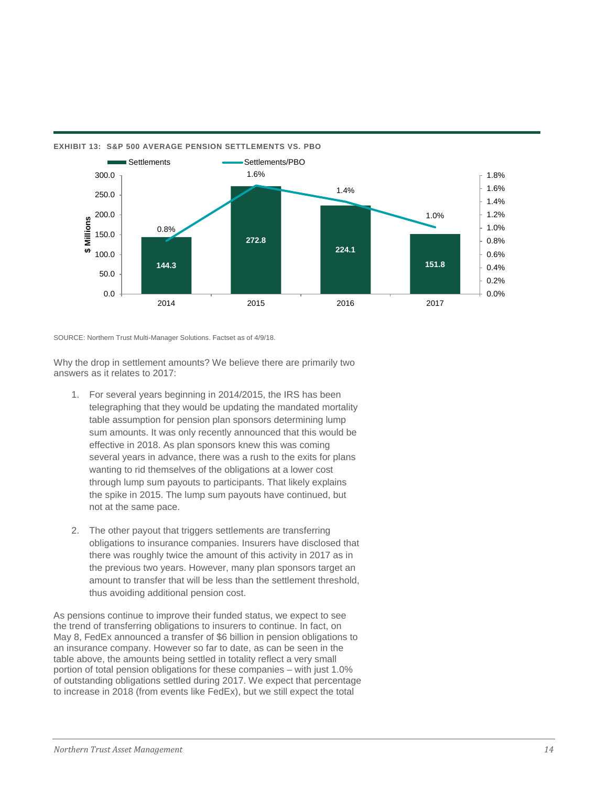

**EXHIBIT 13: S&P 500 AVERAGE PENSION SETTLEMENTS VS. PBO**

SOURCE: Northern Trust Multi-Manager Solutions. Factset as of 4/9/18.

Why the drop in settlement amounts? We believe there are primarily two answers as it relates to 2017:

- 1. For several years beginning in 2014/2015, the IRS has been telegraphing that they would be updating the mandated mortality table assumption for pension plan sponsors determining lump sum amounts. It was only recently announced that this would be effective in 2018. As plan sponsors knew this was coming several years in advance, there was a rush to the exits for plans wanting to rid themselves of the obligations at a lower cost through lump sum payouts to participants. That likely explains the spike in 2015. The lump sum payouts have continued, but not at the same pace.
- 2. The other payout that triggers settlements are transferring obligations to insurance companies. Insurers have disclosed that there was roughly twice the amount of this activity in 2017 as in the previous two years. However, many plan sponsors target an amount to transfer that will be less than the settlement threshold, thus avoiding additional pension cost.

As pensions continue to improve their funded status, we expect to see the trend of transferring obligations to insurers to continue. In fact, on May 8, FedEx announced a transfer of \$6 billion in pension obligations to an insurance company. However so far to date, as can be seen in the table above, the amounts being settled in totality reflect a very small portion of total pension obligations for these companies – with just 1.0% of outstanding obligations settled during 2017. We expect that percentage to increase in 2018 (from events like FedEx), but we still expect the total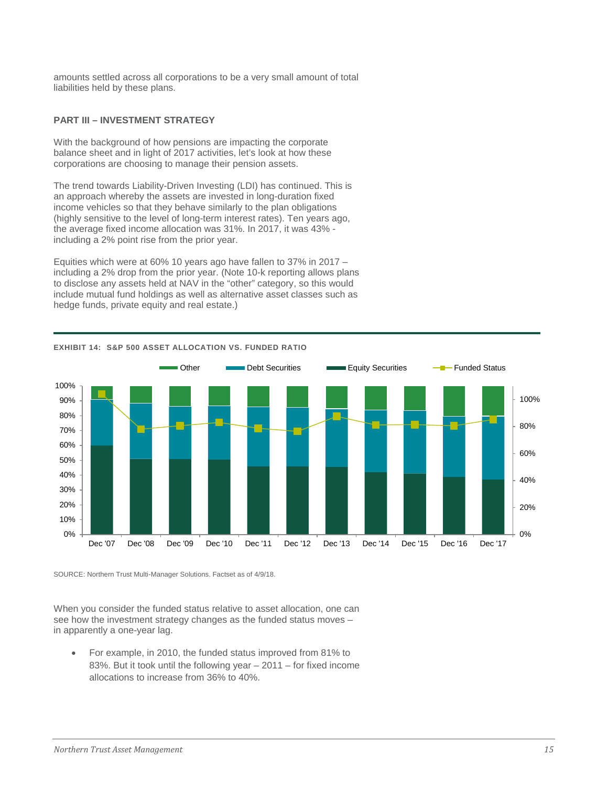amounts settled across all corporations to be a very small amount of total liabilities held by these plans.

# **PART III – INVESTMENT STRATEGY**

With the background of how pensions are impacting the corporate balance sheet and in light of 2017 activities, let's look at how these corporations are choosing to manage their pension assets.

The trend towards Liability-Driven Investing (LDI) has continued. This is an approach whereby the assets are invested in long-duration fixed income vehicles so that they behave similarly to the plan obligations (highly sensitive to the level of long-term interest rates). Ten years ago, the average fixed income allocation was 31%. In 2017, it was 43% including a 2% point rise from the prior year.

Equities which were at 60% 10 years ago have fallen to 37% in 2017 – including a 2% drop from the prior year. (Note 10-k reporting allows plans to disclose any assets held at NAV in the "other" category, so this would include mutual fund holdings as well as alternative asset classes such as hedge funds, private equity and real estate.)



## **EXHIBIT 14: S&P 500 ASSET ALLOCATION VS. FUNDED RATIO**

SOURCE: Northern Trust Multi-Manager Solutions. Factset as of 4/9/18.

When you consider the funded status relative to asset allocation, one can see how the investment strategy changes as the funded status moves – in apparently a one-year lag.

• For example, in 2010, the funded status improved from 81% to 83%. But it took until the following year – 2011 – for fixed income allocations to increase from 36% to 40%.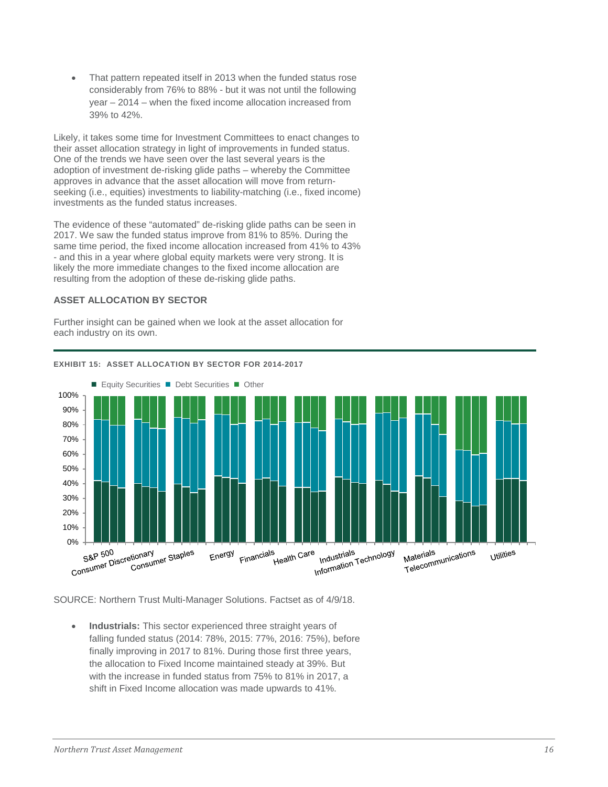That pattern repeated itself in 2013 when the funded status rose considerably from 76% to 88% - but it was not until the following year – 2014 – when the fixed income allocation increased from 39% to 42%.

Likely, it takes some time for Investment Committees to enact changes to their asset allocation strategy in light of improvements in funded status. One of the trends we have seen over the last several years is the adoption of investment de-risking glide paths – whereby the Committee approves in advance that the asset allocation will move from returnseeking (i.e., equities) investments to liability-matching (i.e., fixed income) investments as the funded status increases.

The evidence of these "automated" de-risking glide paths can be seen in 2017. We saw the funded status improve from 81% to 85%. During the same time period, the fixed income allocation increased from 41% to 43% - and this in a year where global equity markets were very strong. It is likely the more immediate changes to the fixed income allocation are resulting from the adoption of these de-risking glide paths.

## **ASSET ALLOCATION BY SECTOR**

Further insight can be gained when we look at the asset allocation for each industry on its own.



## **EXHIBIT 15: ASSET ALLOCATION BY SECTOR FOR 2014-2017**

SOURCE: Northern Trust Multi-Manager Solutions. Factset as of 4/9/18.

• **Industrials:** This sector experienced three straight years of falling funded status (2014: 78%, 2015: 77%, 2016: 75%), before finally improving in 2017 to 81%. During those first three years, the allocation to Fixed Income maintained steady at 39%. But with the increase in funded status from 75% to 81% in 2017, a shift in Fixed Income allocation was made upwards to 41%.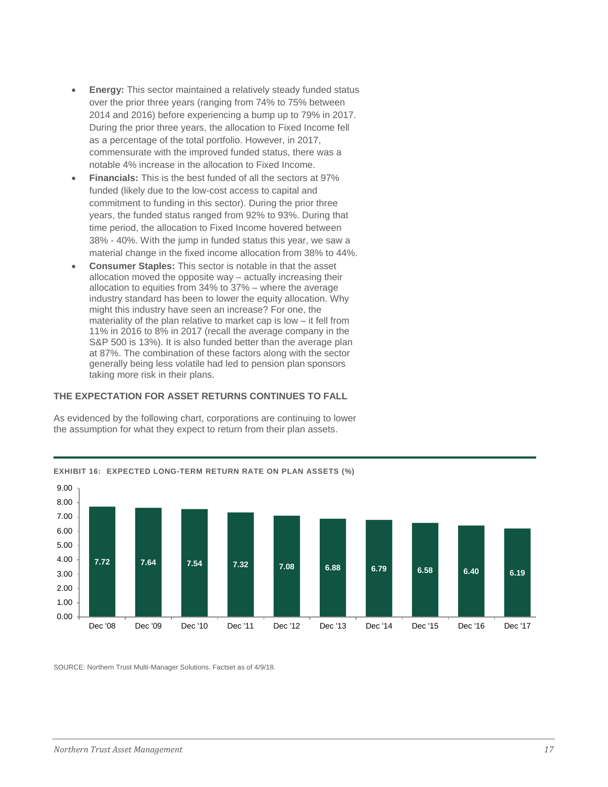- **Energy:** This sector maintained a relatively steady funded status over the prior three years (ranging from 74% to 75% between 2014 and 2016) before experiencing a bump up to 79% in 2017. During the prior three years, the allocation to Fixed Income fell as a percentage of the total portfolio. However, in 2017, commensurate with the improved funded status, there was a notable 4% increase in the allocation to Fixed Income.
- **Financials:** This is the best funded of all the sectors at 97% funded (likely due to the low-cost access to capital and commitment to funding in this sector). During the prior three years, the funded status ranged from 92% to 93%. During that time period, the allocation to Fixed Income hovered between 38% - 40%. With the jump in funded status this year, we saw a material change in the fixed income allocation from 38% to 44%.
- **Consumer Staples:** This sector is notable in that the asset allocation moved the opposite way – actually increasing their allocation to equities from 34% to 37% – where the average industry standard has been to lower the equity allocation. Why might this industry have seen an increase? For one, the materiality of the plan relative to market cap is low – it fell from 11% in 2016 to 8% in 2017 (recall the average company in the S&P 500 is 13%). It is also funded better than the average plan at 87%. The combination of these factors along with the sector generally being less volatile had led to pension plan sponsors taking more risk in their plans.

# **THE EXPECTATION FOR ASSET RETURNS CONTINUES TO FALL**



As evidenced by the following chart, corporations are continuing to lower the assumption for what they expect to return from their plan assets.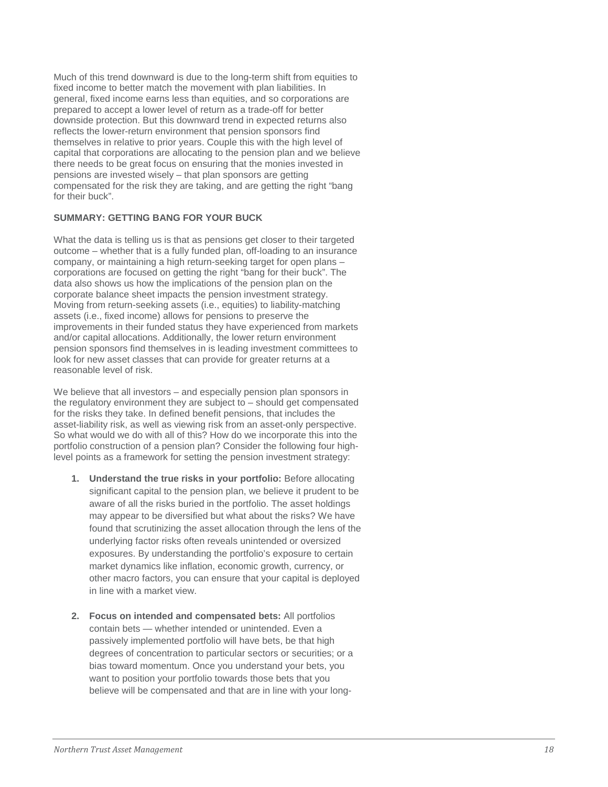Much of this trend downward is due to the long-term shift from equities to fixed income to better match the movement with plan liabilities. In general, fixed income earns less th an equities, and so corporations are prepared to accept a lower level of return as a trade -off for better downside protection. But this downward trend in expected returns also reflects the lower-return environment that pension sponsors find themselves in relative to prior years. Couple this with the high level of there needs to be great focus on ensuring that the monies invested in pensions are invested wisely – that plan sponsors are getting compensated for the risk they are taking, and are getting the right "bang for their buck".

## **SUMMARY: GETTING BANG FOR YOUR BUCK**

What the data is telling us is that as pensions get closer to their targeted outcome – whether that is a fully funded plan, off -loading to an insurance company, or maintaining a high return -seeking target for open plans – corporations are focused on getting the right "bang for their buck". The data also shows us how the implications of the pension plan on the corporate balance sheet impacts the pension investment strategy. Moving from return -seeking assets (i.e., equities) to liability -matching assets (i.e., fixed income) allows for pensions to preserve the improvements in their funded status they have experienced from markets and/or capital allocations. Additionally, the lower return environment pension sponsors find themselves in is leading investment committees to look for new asset classes that can provide for greater returns at a reasonable level of risk.

We believe that all investors – and especially pension plan sponsors in the regulatory environment they are subject to – should get compensated for the risks they take. In defined benefit pensions, that includes the asset -liability risk, as well as viewing risk from an asset -only perspective. So what would we do with all of this? How do we incorporate this into the portfolio construction of a pension plan? Consider the following four high level points as a framework for setting the pension investment strategy:

- **1. Understand the true risks in your portfolio :** Before allocating significant capital to the pension plan, we believe it prudent to be aware of all the risks buried in the portfolio. The asset holdings may appear to be diversified but what about the risks? We have found that scrutinizing the asset allocation through the lens of the underlying factor risks often reveals unintended or oversized exposures. By understanding the portfolio's exposure to certain market dynamics like inflation, economic growth, currency, or other macro factors, you can ensure that your capital is deployed in line with a market view.
- **2. Focus on intended and compensated bets :** All portfolios contain bets — whether intended or unintended. Even a passively implemented portfolio will have bets, be that high degrees of concentration to particular sectors or securities; or a bias toward momentum. Once you understand your bets, you want to position your portfolio towards those bets that you believe will be compensated and that are in line with your long -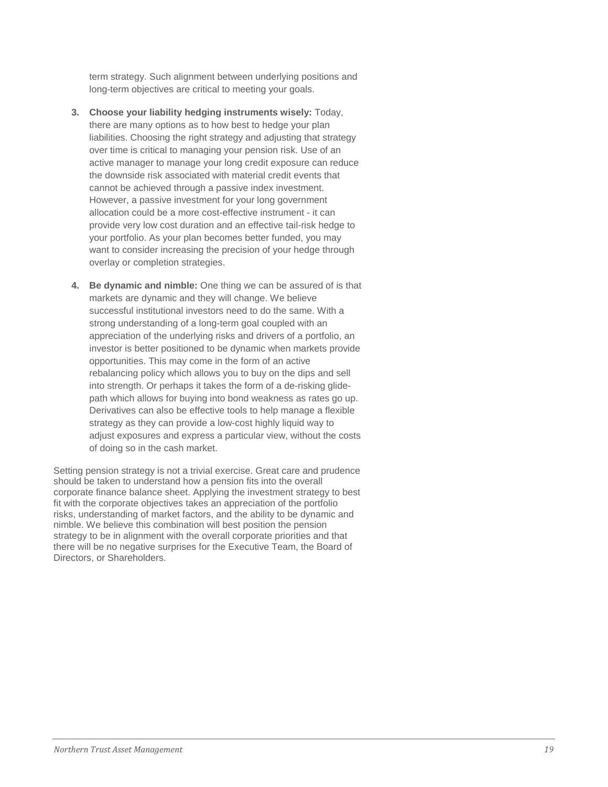term strategy. Such alignment between underlying positions and long-term objectives are critical to meeting your goals.

- **3. Choose your liability hedging instruments wisely:** Today, there are many options as to how best to hedge your plan liabilities. Choosing the right strategy and adjusting that strategy over time is critical to managing your pension risk. Use of an active manager to manage your long credit exposure can reduce the downside risk associated with material credit events that cannot be achieved through a passive index investment. However, a passive investment for your long government allocation could be a more cost-effective instrument - it can provide very low cost duration and an effective tail-risk hedge to your portfolio. As your plan becomes better funded, you may want to consider increasing the precision of your hedge through overlay or completion strategies.
- **4. Be dynamic and nimble:** One thing we can be assured of is that markets are dynamic and they will change. We believe successful institutional investors need to do the same. With a strong understanding of a long-term goal coupled with an appreciation of the underlying risks and drivers of a portfolio, an investor is better positioned to be dynamic when markets provide opportunities. This may come in the form of an active rebalancing policy which allows you to buy on the dips and sell into strength. Or perhaps it takes the form of a de-risking glidepath which allows for buying into bond weakness as rates go up. Derivatives can also be effective tools to help manage a flexible strategy as they can provide a low-cost highly liquid way to adjust exposures and express a particular view, without the costs of doing so in the cash market.

Setting pension strategy is not a trivial exercise. Great care and prudence should be taken to understand how a pension fits into the overall corporate finance balance sheet. Applying the investment strategy to best fit with the corporate objectives takes an appreciation of the portfolio risks, understanding of market factors, and the ability to be dynamic and nimble. We believe this combination will best position the pension strategy to be in alignment with the overall corporate priorities and that there will be no negative surprises for the Executive Team, the Board of Directors, or Shareholders.